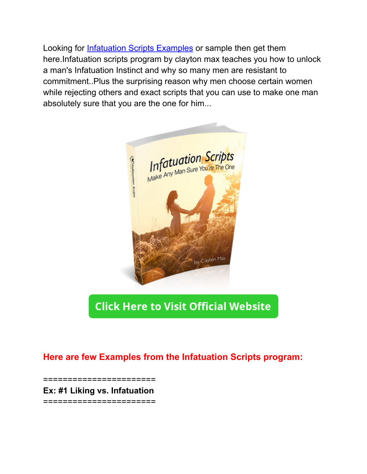Looking for **[Infatuation](http://5urls.com/infatuationscriptstxt) Scripts Examples** or sample then get them here.Infatuation scripts program by clayton max teaches you how to unlock a man's Infatuation Instinct and why so many men are resistant to commitment..Plus the surprising reason why men choose certain women while rejecting others and exact scripts that you can use to make one man absolutely sure that you are the one for him...



### **Click Here to Visit Official Website**

#### **Here are few Examples from the Infatuation Scripts program:**

==================

**Ex: #1 Liking vs. Infatuation** =======================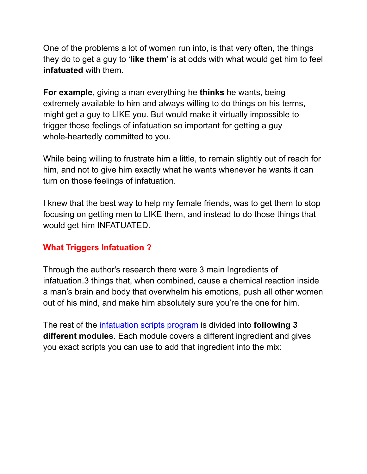One of the problems a lot of women run into, is that very often, the things they do to get a guy to '**like them**' is at odds with what would get him to feel **infatuated** with them.

**For example**, giving a man everything he **thinks** he wants, being extremely available to him and always willing to do things on his terms, might get a guy to LIKE you. But would make it virtually impossible to trigger those feelings of infatuation so important for getting a guy whole-heartedly committed to you.

While being willing to frustrate him a little, to remain slightly out of reach for him, and not to give him exactly what he wants whenever he wants it can turn on those feelings of infatuation.

I knew that the best way to help my female friends, was to get them to stop focusing on getting men to LIKE them, and instead to do those things that would get him INFATUATED.

#### **What Triggers Infatuation ?**

Through the author's research there were 3 main Ingredients of infatuation.3 things that, when combined, cause a chemical reaction inside a man's brain and body that overwhelm his emotions, push all other women out of his mind, and make him absolutely sure you're the one for him.

The rest of the [infatuation](http://5urls.com/infatuationscriptstxt) scripts program is divided into **following 3 different modules**. Each module covers a different ingredient and gives you exact scripts you can use to add that ingredient into the mix: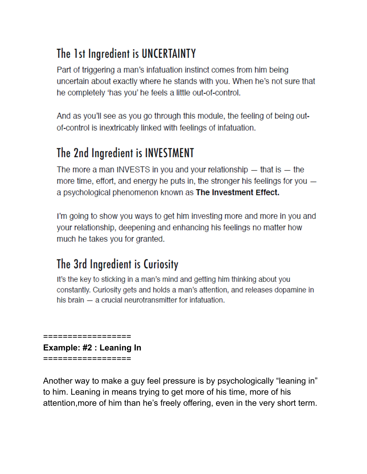# The 1st Ingredient is UNCERTAINTY

Part of triggering a man's infatuation instinct comes from him being uncertain about exactly where he stands with you. When he's not sure that he completely 'has you' he feels a little out-of-control.

And as you'll see as you go through this module, the feeling of being outof-control is inextricably linked with feelings of infatuation.

### The 2nd Ingredient is INVESTMENT

The more a man INVESTS in you and your relationship  $-$  that is  $-$  the more time, effort, and energy he puts in, the stronger his feelings for you a psychological phenomenon known as The Investment Effect.

I'm going to show you ways to get him investing more and more in you and your relationship, deepening and enhancing his feelings no matter how much he takes you for granted.

# The 3rd Ingredient is Curiosity

It's the key to sticking in a man's mind and getting him thinking about you constantly. Curiosity gets and holds a man's attention, and releases dopamine in his brain - a crucial neurotransmitter for infatuation.

================== **Example: #2 : Leaning In** ==================

Another way to make a guy feel pressure is by psychologically "leaning in" to him. Leaning in means trying to get more of his time, more of his attention, more of him than he's freely offering, even in the very short term.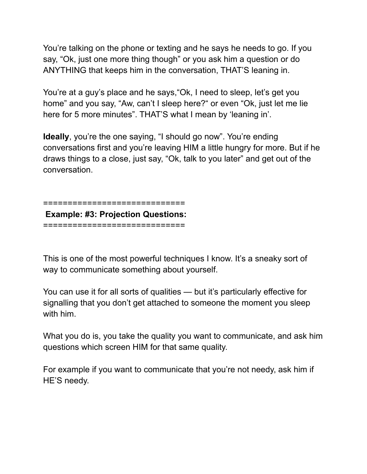You're talking on the phone or texting and he says he needs to go. If you say, "Ok, just one more thing though" or you ask him a question or do ANYTHING that keeps him in the conversation, THAT'S leaning in.

You're at a guy's place and he says,"Ok, I need to sleep, let's get you home" and you say, "Aw, can't I sleep here?" or even "Ok, just let me lie here for 5 more minutes". THAT'S what I mean by 'leaning in'.

**Ideally**, you're the one saying, "I should go now". You're ending conversations first and you're leaving HIM a little hungry for more. But if he draws things to a close, just say, "Ok, talk to you later" and get out of the conversation.

=============================

**Example: #3: Projection Questions:** =============================

This is one of the most powerful techniques I know. It's a sneaky sort of way to communicate something about yourself.

You can use it for all sorts of qualities — but it's particularly effective for signalling that you don't get attached to someone the moment you sleep with him.

What you do is, you take the quality you want to communicate, and ask him questions which screen HIM for that same quality.

For example if you want to communicate that you're not needy, ask him if HE'S needy.